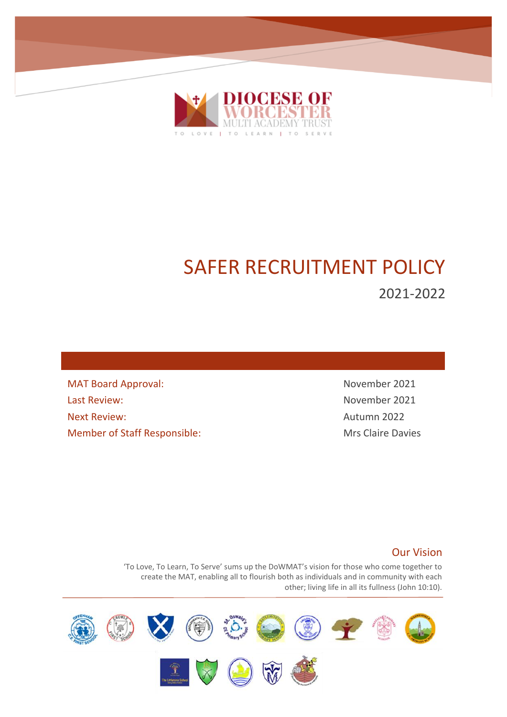

# SAFER RECRUITMENT POLICY

2021-2022

MAT Board Approval: November 2021 Last Review: November 2021 Next Review: Next Review: Member of Staff Responsible: Mrs Claire Davies

## Our Vision

'To Love, To Learn, To Serve' sums up the DoWMAT's vision for those who come together to create the MAT, enabling all to flourish both as individuals and in community with each other; living life in all its fullness (John 10:10).

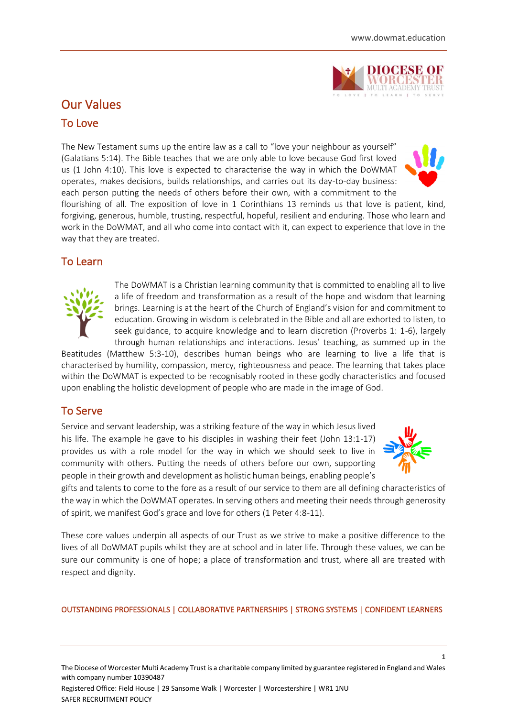

## Our Values

## To Love

The New Testament sums up the entire law as a call to "love your neighbour as yourself" (Galatians 5:14). The Bible teaches that we are only able to love because God first loved us (1 John 4:10). This love is expected to characterise the way in which the DoWMAT operates, makes decisions, builds relationships, and carries out its day-to-day business: each person putting the needs of others before their own, with a commitment to the



flourishing of all. The exposition of love in 1 Corinthians 13 reminds us that love is patient, kind, forgiving, generous, humble, trusting, respectful, hopeful, resilient and enduring. Those who learn and work in the DoWMAT, and all who come into contact with it, can expect to experience that love in the way that they are treated.

## To Learn



The DoWMAT is a Christian learning community that is committed to enabling all to live a life of freedom and transformation as a result of the hope and wisdom that learning brings. Learning is at the heart of the Church of England's vision for and commitment to education. Growing in wisdom is celebrated in the Bible and all are exhorted to listen, to seek guidance, to acquire knowledge and to learn discretion (Proverbs 1: 1-6), largely through human relationships and interactions. Jesus' teaching, as summed up in the

Beatitudes (Matthew 5:3-10), describes human beings who are learning to live a life that is characterised by humility, compassion, mercy, righteousness and peace. The learning that takes place within the DoWMAT is expected to be recognisably rooted in these godly characteristics and focused upon enabling the holistic development of people who are made in the image of God.

## To Serve

Service and servant leadership, was a striking feature of the way in which Jesus lived his life. The example he gave to his disciples in washing their feet (John 13:1-17) provides us with a role model for the way in which we should seek to live in community with others. Putting the needs of others before our own, supporting people in their growth and development as holistic human beings, enabling people's



**1**

gifts and talents to come to the fore as a result of our service to them are all defining characteristics of the way in which the DoWMAT operates. In serving others and meeting their needs through generosity of spirit, we manifest God's grace and love for others (1 Peter 4:8-11).

These core values underpin all aspects of our Trust as we strive to make a positive difference to the lives of all DoWMAT pupils whilst they are at school and in later life. Through these values, we can be sure our community is one of hope; a place of transformation and trust, where all are treated with respect and dignity.

#### OUTSTANDING PROFESSIONALS | COLLABORATIVE PARTNERSHIPS | STRONG SYSTEMS | CONFIDENT LEARNERS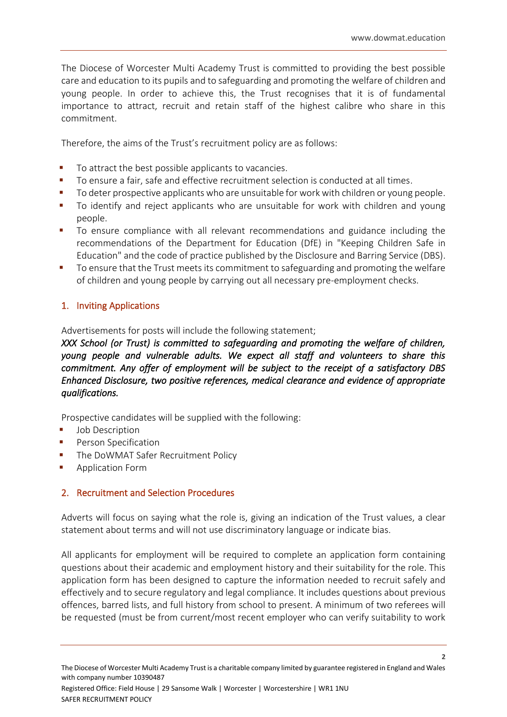The Diocese of Worcester Multi Academy Trust is committed to providing the best possible care and education to its pupils and to safeguarding and promoting the welfare of children and young people. In order to achieve this, the Trust recognises that it is of fundamental importance to attract, recruit and retain staff of the highest calibre who share in this commitment.

Therefore, the aims of the Trust's recruitment policy are as follows:

- To attract the best possible applicants to vacancies.
- To ensure a fair, safe and effective recruitment selection is conducted at all times.
- To deter prospective applicants who are unsuitable for work with children or young people.
- To identify and reject applicants who are unsuitable for work with children and young people.
- To ensure compliance with all relevant recommendations and guidance including the recommendations of the Department for Education (DfE) in "Keeping Children Safe in Education" and the code of practice published by the Disclosure and Barring Service (DBS).
- To ensure that the Trust meets its commitment to safeguarding and promoting the welfare of children and young people by carrying out all necessary pre-employment checks.

## 1. Inviting Applications

Advertisements for posts will include the following statement;

*XXX School (or Trust) is committed to safeguarding and promoting the welfare of children, young people and vulnerable adults. We expect all staff and volunteers to share this commitment. Any offer of employment will be subject to the receipt of a satisfactory DBS Enhanced Disclosure, two positive references, medical clearance and evidence of appropriate qualifications.* 

Prospective candidates will be supplied with the following:

- Job Description
- Person Specification
- **The DoWMAT Safer Recruitment Policy**
- Application Form

## 2. Recruitment and Selection Procedures

Adverts will focus on saying what the role is, giving an indication of the Trust values, a clear statement about terms and will not use discriminatory language or indicate bias.

All applicants for employment will be required to complete an application form containing questions about their academic and employment history and their suitability for the role. This application form has been designed to capture the information needed to recruit safely and effectively and to secure regulatory and legal compliance. It includes questions about previous offences, barred lists, and full history from school to present. A minimum of two referees will be requested (must be from current/most recent employer who can verify suitability to work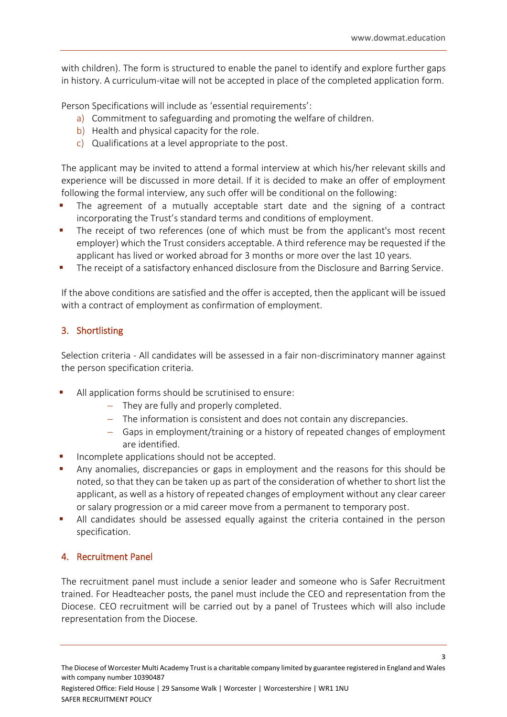with children). The form is structured to enable the panel to identify and explore further gaps in history. A curriculum-vitae will not be accepted in place of the completed application form.

Person Specifications will include as 'essential requirements':

- a) Commitment to safeguarding and promoting the welfare of children.
- b) Health and physical capacity for the role.
- c) Qualifications at a level appropriate to the post.

The applicant may be invited to attend a formal interview at which his/her relevant skills and experience will be discussed in more detail. If it is decided to make an offer of employment following the formal interview, any such offer will be conditional on the following:

- The agreement of a mutually acceptable start date and the signing of a contract incorporating the Trust's standard terms and conditions of employment.
- The receipt of two references (one of which must be from the applicant's most recent employer) which the Trust considers acceptable. A third reference may be requested if the applicant has lived or worked abroad for 3 months or more over the last 10 years.
- The receipt of a satisfactory enhanced disclosure from the Disclosure and Barring Service.

If the above conditions are satisfied and the offer is accepted, then the applicant will be issued with a contract of employment as confirmation of employment.

## 3. Shortlisting

Selection criteria - All candidates will be assessed in a fair non-discriminatory manner against the person specification criteria.

- All application forms should be scrutinised to ensure:
	- − They are fully and properly completed.
	- − The information is consistent and does not contain any discrepancies.
	- − Gaps in employment/training or a history of repeated changes of employment are identified.
- Incomplete applications should not be accepted.
- Any anomalies, discrepancies or gaps in employment and the reasons for this should be noted, so that they can be taken up as part of the consideration of whether to short list the applicant, as well as a history of repeated changes of employment without any clear career or salary progression or a mid career move from a permanent to temporary post.
- All candidates should be assessed equally against the criteria contained in the person specification.

## 4. Recruitment Panel

The recruitment panel must include a senior leader and someone who is Safer Recruitment trained. For Headteacher posts, the panel must include the CEO and representation from the Diocese. CEO recruitment will be carried out by a panel of Trustees which will also include representation from the Diocese.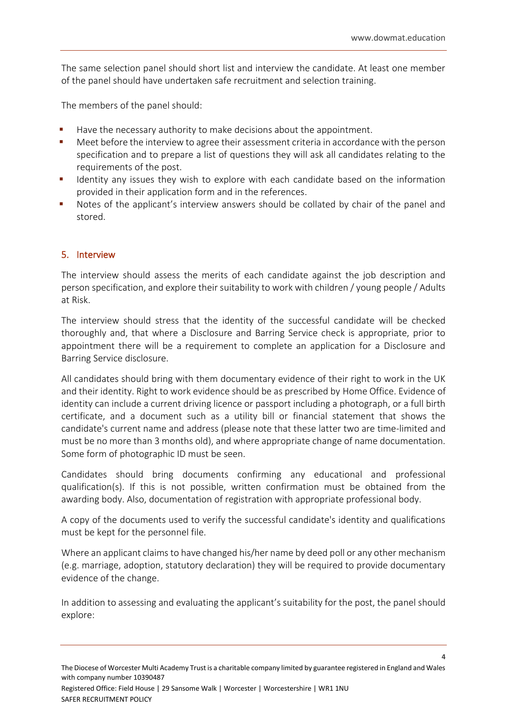The same selection panel should short list and interview the candidate. At least one member of the panel should have undertaken safe recruitment and selection training.

The members of the panel should:

- Have the necessary authority to make decisions about the appointment.
- Meet before the interview to agree their assessment criteria in accordance with the person specification and to prepare a list of questions they will ask all candidates relating to the requirements of the post.
- **■** Identity any issues they wish to explore with each candidate based on the information provided in their application form and in the references.
- Notes of the applicant's interview answers should be collated by chair of the panel and stored.

#### 5. Interview

The interview should assess the merits of each candidate against the job description and person specification, and explore their suitability to work with children / young people / Adults at Risk.

The interview should stress that the identity of the successful candidate will be checked thoroughly and, that where a Disclosure and Barring Service check is appropriate, prior to appointment there will be a requirement to complete an application for a Disclosure and Barring Service disclosure.

All candidates should bring with them documentary evidence of their right to work in the UK and their identity. Right to work evidence should be as prescribed by [Home Office.](https://www.gov.uk/government/publications/right-to-work-checklist) Evidence of identity can include a current driving licence or passport including a photograph, or a full birth certificate, and a document such as a utility bill or financial statement that shows the candidate's current name and address (please note that these latter two are time-limited and must be no more than 3 months old), and where appropriate change of name documentation. Some form of photographic ID must be seen.

Candidates should bring documents confirming any educational and professional qualification(s). If this is not possible, written confirmation must be obtained from the awarding body. Also, documentation of registration with appropriate professional body.

A copy of the documents used to verify the successful candidate's identity and qualifications must be kept for the personnel file.

Where an applicant claims to have changed his/her name by deed poll or any other mechanism (e.g. marriage, adoption, statutory declaration) they will be required to provide documentary evidence of the change.

In addition to assessing and evaluating the applicant's suitability for the post, the panel should explore:

Registered Office: Field House | 29 Sansome Walk | Worcester | Worcestershire | WR1 1NU SAFER RECRUITMENT POLICY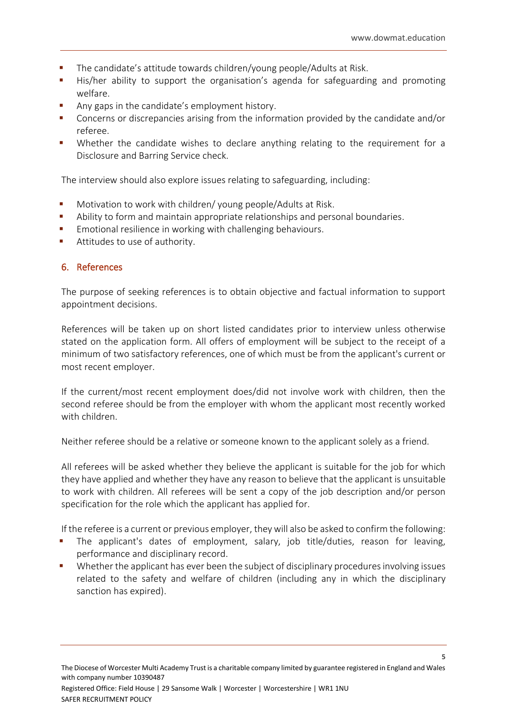- The candidate's attitude towards children/young people/Adults at Risk.
- His/her ability to support the organisation's agenda for safeguarding and promoting welfare.
- Any gaps in the candidate's employment history.
- Concerns or discrepancies arising from the information provided by the candidate and/or referee.
- Whether the candidate wishes to declare anything relating to the requirement for a Disclosure and Barring Service check.

The interview should also explore issues relating to safeguarding, including:

- Motivation to work with children/ young people/Adults at Risk.
- Ability to form and maintain appropriate relationships and personal boundaries.
- Emotional resilience in working with challenging behaviours.
- Attitudes to use of authority.

#### 6. References

The purpose of seeking references is to obtain objective and factual information to support appointment decisions.

References will be taken up on short listed candidates prior to interview unless otherwise stated on the application form. All offers of employment will be subject to the receipt of a minimum of two satisfactory references, one of which must be from the applicant's current or most recent employer.

If the current/most recent employment does/did not involve work with children, then the second referee should be from the employer with whom the applicant most recently worked with children.

Neither referee should be a relative or someone known to the applicant solely as a friend.

All referees will be asked whether they believe the applicant is suitable for the job for which they have applied and whether they have any reason to believe that the applicant is unsuitable to work with children. All referees will be sent a copy of the job description and/or person specification for the role which the applicant has applied for.

If the referee is a current or previous employer, they will also be asked to confirm the following:

- The applicant's dates of employment, salary, job title/duties, reason for leaving, performance and disciplinary record.
- Whether the applicant has ever been the subject of disciplinary procedures involving issues related to the safety and welfare of children (including any in which the disciplinary sanction has expired).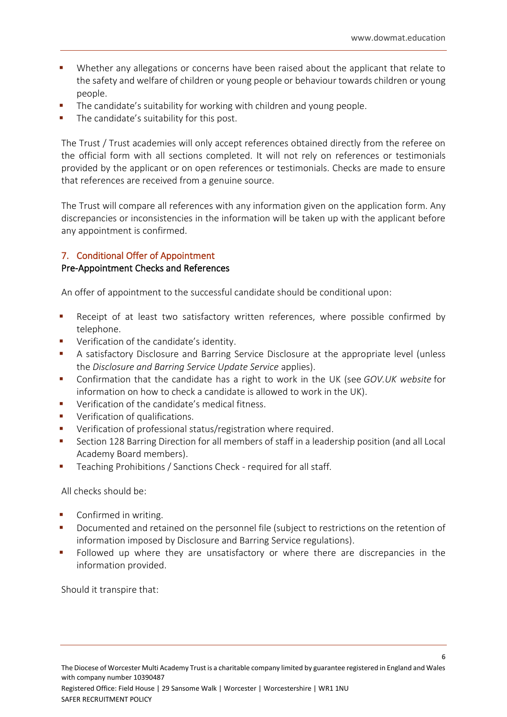- Whether any allegations or concerns have been raised about the applicant that relate to the safety and welfare of children or young people or behaviour towards children or young people.
- The candidate's suitability for working with children and young people.
- The candidate's suitability for this post.

The Trust / Trust academies will only accept references obtained directly from the referee on the official form with all sections completed. It will not rely on references or testimonials provided by the applicant or on open references or testimonials. Checks are made to ensure that references are received from a genuine source.

The Trust will compare all references with any information given on the application form. Any discrepancies or inconsistencies in the information will be taken up with the applicant before any appointment is confirmed.

#### 7. Conditional Offer of Appointment

#### Pre-Appointment Checks and References

An offer of appointment to the successful candidate should be conditional upon:

- Receipt of at least two satisfactory written references, where possible confirmed by telephone.
- Verification of the candidate's identity.
- A satisfactory Disclosure and Barring Service Disclosure at the appropriate level (unless the *[Disclosure and Barring Service Update Service](http://trixresources.proceduresonline.com/nat_key/keywords/dislosure_barring_update_service.html)* applies).
- Confirmation that the candidate has a right to work in the UK (see *[GOV.UK website](https://www.gov.uk/check-job-applicant-right-to-work)* for information on how to check a candidate is allowed to work in the UK).
- Verification of the candidate's medical fitness.
- Verification of qualifications.
- Verification of professional status/registration where required.
- Section 128 Barring Direction for all members of staff in a leadership position (and all Local Academy Board members).
- Teaching Prohibitions / Sanctions Check required for all staff.

All checks should be:

- Confirmed in writing.
- Documented and retained on the personnel file (subject to restrictions on the retention of information imposed by Disclosure and Barring Service regulations).
- Followed up where they are unsatisfactory or where there are discrepancies in the information provided.

Should it transpire that: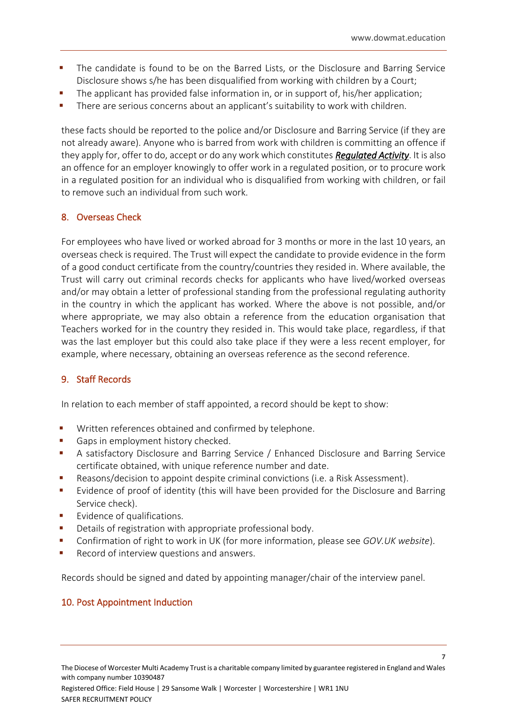- **•** The candidate is found to be on the Barred Lists, or the Disclosure and Barring Service Disclosure shows s/he has been disqualified from working with children by a Court;
- The applicant has provided false information in, or in support of, his/her application;
- There are serious concerns about an applicant's suitability to work with children.

these facts should be reported to the police and/or Disclosure and Barring Service (if they are not already aware). Anyone who is barred from work with children is committing an offence if they apply for, offer to do, accept or do any work which constitutes *[Regulated Activity](http://trixresources.proceduresonline.com/nat_key/keywords/reg_activity.html)*. It is also an offence for an employer knowingly to offer work in a regulated position, or to procure work in a regulated position for an individual who is disqualified from working with children, or fail to remove such an individual from such work.

#### 8. Overseas Check

For employees who have lived or worked abroad for 3 months or more in the last 10 years, an overseas check is required. The Trust will expect the candidate to provide evidence in the form of a good conduct certificate from the country/countries they resided in. Where available, the Trust will carry out criminal records checks for applicants who have lived/worked overseas and/or may obtain a letter of professional standing from the professional regulating authority in the country in which the applicant has worked. Where the above is not possible, and/or where appropriate, we may also obtain a reference from the education organisation that Teachers worked for in the country they resided in. This would take place, regardless, if that was the last employer but this could also take place if they were a less recent employer, for example, where necessary, obtaining an overseas reference as the second reference.

#### 9. Staff Records

In relation to each member of staff appointed, a record should be kept to show:

- Written references obtained and confirmed by telephone.
- Gaps in employment history checked.
- A satisfactory Disclosure and Barring Service / Enhanced Disclosure and Barring Service certificate obtained, with unique reference number and date.
- Reasons/decision to appoint despite criminal convictions (i.e. a Risk Assessment).
- Evidence of proof of identity (this will have been provided for the Disclosure and Barring Service check).
- Evidence of qualifications.
- Details of registration with appropriate professional body.
- Confirmation of right to work in UK (for more information, please see *[GOV.UK website](https://www.gov.uk/check-job-applicant-right-to-work)*).
- Record of interview questions and answers.

Records should be signed and dated by appointing manager/chair of the interview panel.

#### 10. Post Appointment Induction

Registered Office: Field House | 29 Sansome Walk | Worcester | Worcestershire | WR1 1NU SAFER RECRUITMENT POLICY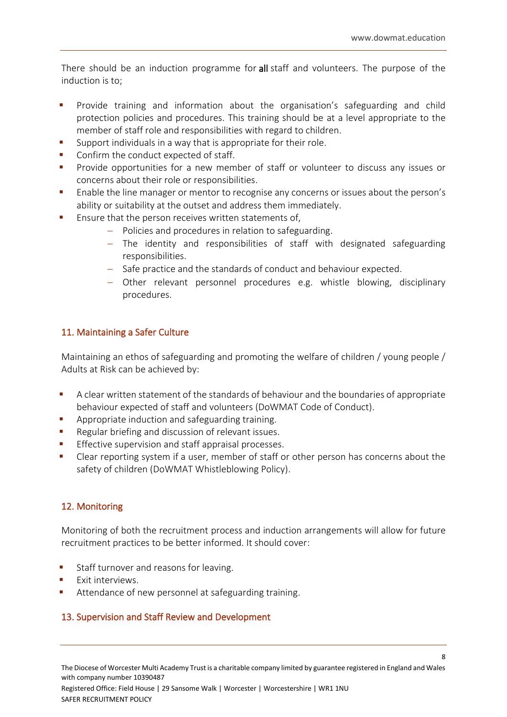There should be an induction programme for all staff and volunteers. The purpose of the induction is to;

- Provide training and information about the organisation's safeguarding and child protection policies and procedures. This training should be at a level appropriate to the member of staff role and responsibilities with regard to children.
- Support individuals in a way that is appropriate for their role.
- Confirm the conduct expected of staff.
- Provide opportunities for a new member of staff or volunteer to discuss any issues or concerns about their role or responsibilities.
- Enable the line manager or mentor to recognise any concerns or issues about the person's ability or suitability at the outset and address them immediately.
- Ensure that the person receives written statements of,
	- − Policies and procedures in relation to safeguarding.
	- − The identity and responsibilities of staff with designated safeguarding responsibilities.
	- − Safe practice and the standards of conduct and behaviour expected.
	- − Other relevant personnel procedures e.g. whistle blowing, disciplinary procedures.

#### 11. Maintaining a Safer Culture

Maintaining an ethos of safeguarding and promoting the welfare of children / young people / Adults at Risk can be achieved by:

- A clear written statement of the standards of behaviour and the boundaries of appropriate behaviour expected of staff and volunteers (DoWMAT Code of Conduct).
- Appropriate induction and safeguarding training.
- Regular briefing and discussion of relevant issues.
- Effective supervision and staff appraisal processes.
- Clear reporting system if a user, member of staff or other person has concerns about the safety of children (DoWMAT Whistleblowing Policy).

#### 12. Monitoring

Monitoring of both the recruitment process and induction arrangements will allow for future recruitment practices to be better informed. It should cover:

- Staff turnover and reasons for leaving.
- Exit interviews.
- Attendance of new personnel at safeguarding training.

#### 13. Supervision and Staff Review and Development

Registered Office: Field House | 29 Sansome Walk | Worcester | Worcestershire | WR1 1NU SAFER RECRUITMENT POLICY